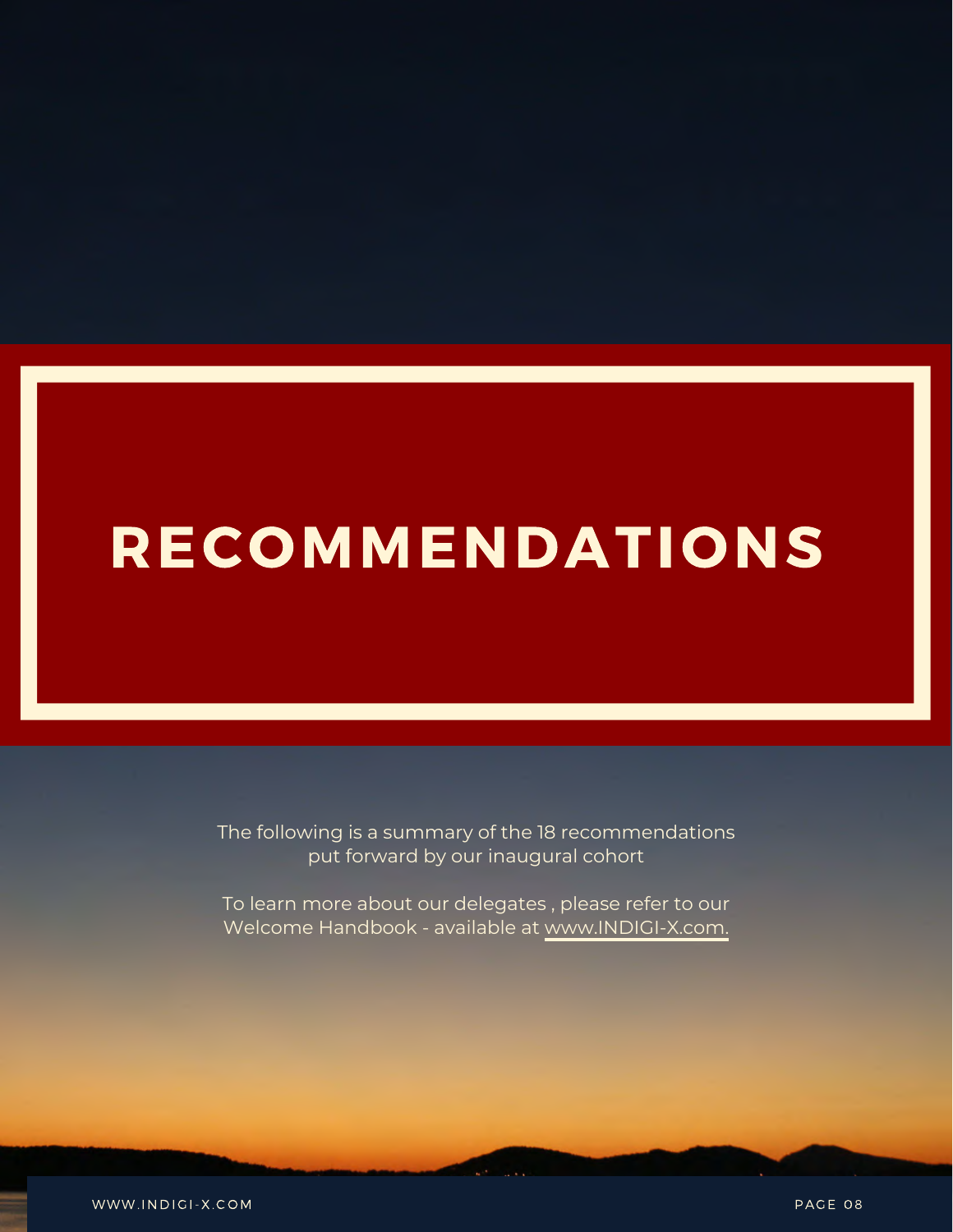# **RECOMMENDATIONS**

The following is a summary of the 18 recommendations put forward by our inaugural cohort

To learn more about our delegates , please refer to our Welcome Handbook - available at [www.INDIGI-X.com.](http://www.indigi-x.com/)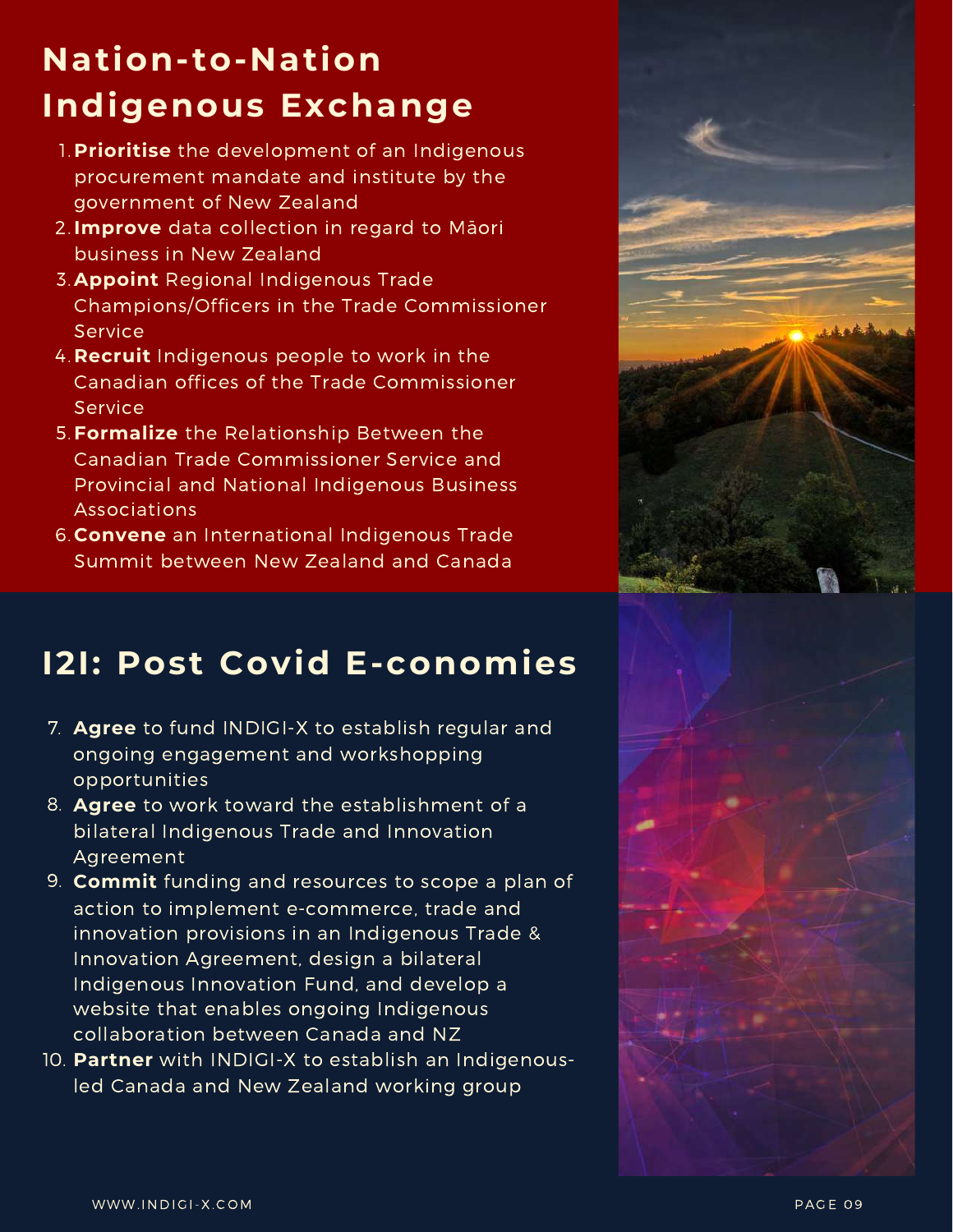## **Nation-to-Nation Indigenous Exchange**

- **Prioritise** the development of an Indigenous 1. procurement mandate and institute by the government of New Zealand
- **Improve** data collection in regard to Māori 2. business in New Zealand
- 3. Appoint Regional Indigenous Trade Champions/Officers in the Trade Commissioner Service
- 4. Recruit Indigenous people to work in the Canadian offices of the Trade Commissioner Service
- **Formalize** the Relationship Between the 5. Canadian Trade Commissioner Service and Provincial and National Indigenous Business Associations
- **Convene** an International Indigenous Trade 6. Summit between New Zealand and Canada

#### **I2I: Post Covid E-conomies**

- **Agree** to fund INDIGI-X to establish regular and 7. ongoing engagement and workshopping opportunities
- **Agree** to work toward the establishment of a 8. bilateral Indigenous Trade and Innovation Agreement
- **Commit** funding and resources to scope a plan of 9. action to implement e-commerce, trade and innovation provisions in an Indigenous Trade & Innovation Agreement, design a bilateral Indigenous Innovation Fund, and develop a website that enables ongoing Indigenous collaboration between Canada and NZ
- **Partner** with INDIGI-X to establish an Indigenous-10.led Canada and New Zealand working group



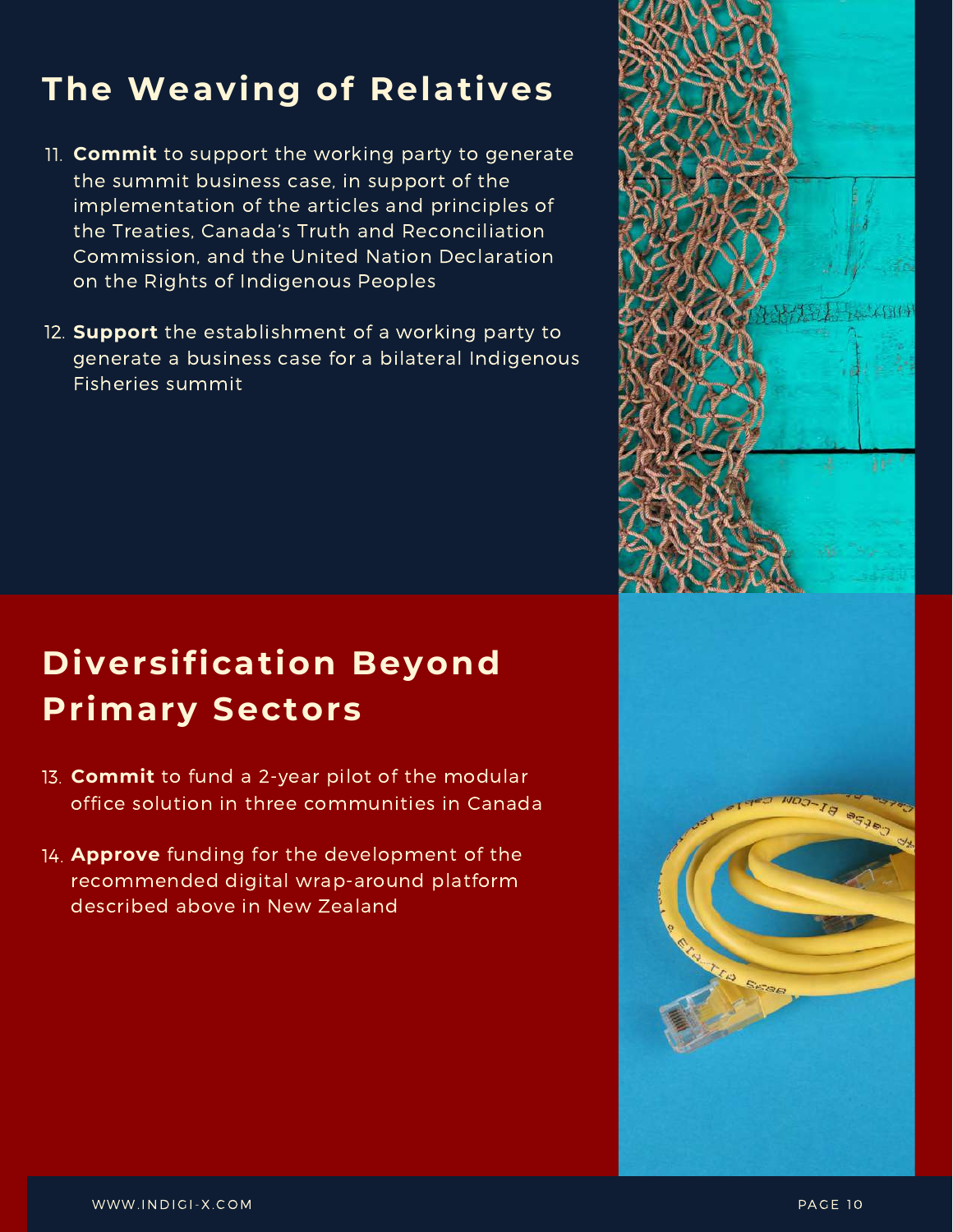### **The Weaving of Relatives**

- **Commit** to support the working party to generate 11. the summit business case, in support of the implementation of the articles and principles of the Treaties, Canada's Truth and Reconciliation Commission, and the United Nation Declaration on the Rights of Indigenous Peoples
- 12. **Support** the establishment of a working party to generate a business case for a bilateral Indigenous Fisheries summit

## **Diversification Beyond Primary Sectors**

- 13. Commit to fund a 2-year pilot of the modular office solution in three communities in Canada
- **Approve** funding for the development of the 14.recommended digital wrap-around platform described above in New Zealand